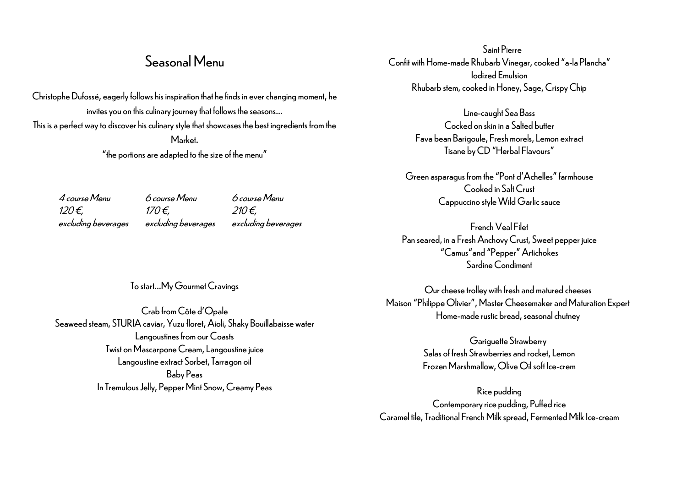## Seasonal Menu

Christophe Dufossé, eagerly follows his inspiration that he finds in ever changing moment, he invites you on this culinary journey that follows the seasons… This is a perfect way to discover his culinary style that showcases the best ingredients from the Market.

"the portions are adapted to the size of the menu"

4 course Menu 6 course Menu 6 course Menu  $120 \epsilon$ ,  $170 \epsilon$ , 210 €, excluding beverages excluding beverages excluding beverages

To start…My Gourmet Cravings

Crab from Côte d'Opale Seaweed steam, STURIA caviar, Yuzu floret, Aioli, Shaky Bouillabaisse water Langoustines from our Coasts Twist on Mascarpone Cream, Langoustine juice Langoustine extract Sorbet, Tarragon oil Baby Peas In Tremulous Jelly, Pepper Mint Snow, Creamy Peas

Saint Pierre Confit with Home-made Rhubarb Vinegar, cooked "a-la Plancha" Iodized Emulsion Rhubarb stem, cooked in Honey, Sage, Crispy Chip

> Line-caught Sea Bass Cocked on skin in a Salted butter Fava bean Barigoule, Fresh morels, Lemon extract Tisane by CD "Herbal Flavours"

Green asparagus from the "Pont d'Achelles" farmhouse Cooked in Salt Crust Cappuccino style Wild Garlic sauce

French Veal Filet Pan seared, in a Fresh Anchovy Crust, Sweet pepper juice "Camus"and "Pepper" Artichokes Sardine Condiment

Our cheese trolley with fresh and matured cheeses Maison "Philippe Olivier", Master Cheesemaker and Maturation Expert Home-made rustic bread, seasonal chutney

> Gariguette Strawberry Salas of fresh Strawberries and rocket, Lemon Frozen Marshmallow, Olive Oil soft Ice-crem

Rice pudding Contemporary rice pudding, Puffed rice Caramel tile, Traditional French Milk spread, Fermented Milk Ice-cream